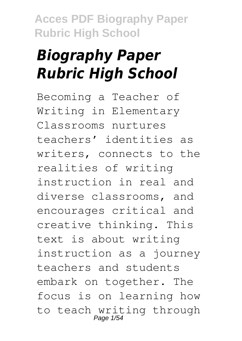# *Biography Paper Rubric High School*

Becoming a Teacher of Writing in Elementary Classrooms nurtures teachers' identities as writers, connects to the realities of writing instruction in real and diverse classrooms, and encourages critical and creative thinking. This text is about writing instruction as a journey teachers and students embark on together. The focus is on learning how to teach writing through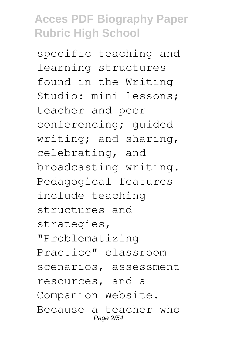specific teaching and learning structures found in the Writing Studio: mini-lessons; teacher and peer conferencing; guided writing; and sharing, celebrating, and broadcasting writing. Pedagogical features include teaching structures and strategies, "Problematizing Practice" classroom scenarios, assessment resources, and a Companion Website. Because a teacher who Page 2/54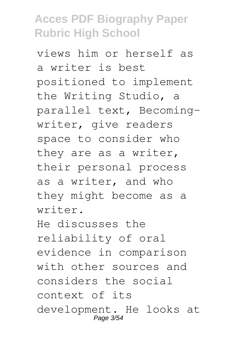views him or herself as a writer is best positioned to implement the Writing Studio, a parallel text, Becomingwriter, give readers space to consider who they are as a writer, their personal process as a writer, and who they might become as a writer. He discusses the

reliability of oral evidence in comparison with other sources and considers the social context of its development. He looks at Page 3/54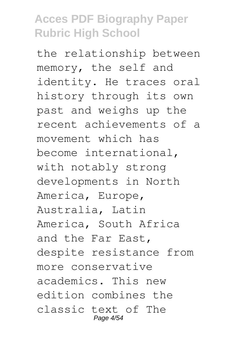the relationship between memory, the self and identity. He traces oral history through its own past and weighs up the recent achievements of a movement which has become international, with notably strong developments in North America, Europe, Australia, Latin America, South Africa and the Far East, despite resistance from more conservative academics. This new edition combines the classic text of The Page 4/54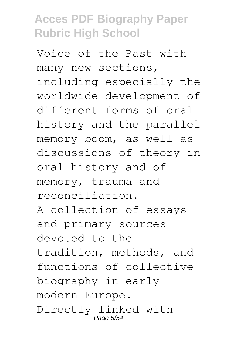Voice of the Past with many new sections, including especially the worldwide development of different forms of oral history and the parallel memory boom, as well as discussions of theory in oral history and of memory, trauma and reconciliation. A collection of essays and primary sources devoted to the tradition, methods, and functions of collective biography in early modern Europe. Directly linked with Page 5/5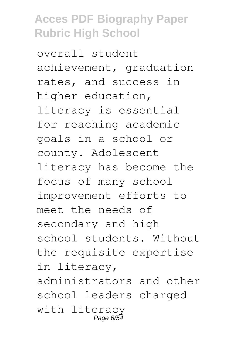overall student achievement, graduation rates, and success in higher education, literacy is essential for reaching academic goals in a school or county. Adolescent literacy has become the focus of many school improvement efforts to meet the needs of secondary and high school students. Without the requisite expertise in literacy, administrators and other school leaders charged with literacy Page 6/54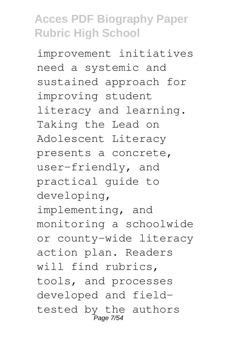improvement initiatives need a systemic and sustained approach for improving student literacy and learning. Taking the Lead on Adolescent Literacy presents a concrete, user-friendly, and practical guide to developing, implementing, and monitoring a schoolwide or county-wide literacy action plan. Readers will find rubrics, tools, and processes developed and fieldtested by the authors <u>-</u><br>Page 7/54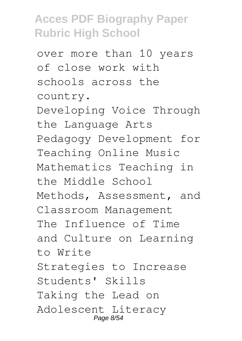over more than 10 years of close work with schools across the country. Developing Voice Through the Language Arts Pedagogy Development for Teaching Online Music Mathematics Teaching in the Middle School Methods, Assessment, and Classroom Management The Influence of Time and Culture on Learning to Write Strategies to Increase Students' Skills Taking the Lead on Adolescent Literacy Page 8/54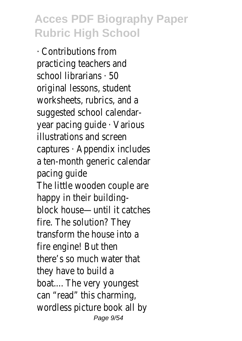· Contributions from practicing teachers and school librarians · 50 original lessons, student worksheets, rubrics, and a suggested school calendaryear pacing guide · Various illustrations and screen captures · Appendix includes a ten-month generic calendar pacing guide The little wooden couple are happy in their buildingblock house—until it catches fire. The solution? They transform the house into a fire engine! But then there's so much water that they have to build a boat.... The very younges can "read" this charming, wordless picture book all by Page 9/54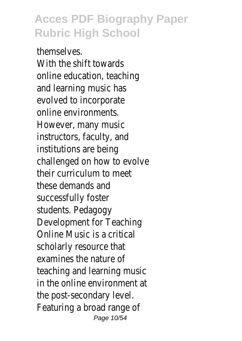themselves. With the shift towards online education, teaching and learning music has evolved to incorporate online environments. However, many music instructors, faculty, and institutions are being challenged on how to evolve their curriculum to meet these demands and successfully foster students. Pedagogy Development for Teaching Online Music is a critical scholarly resource that examines the nature of teaching and learning music in the online environment at the post-secondary level. Featuring a broad range of Page 10/54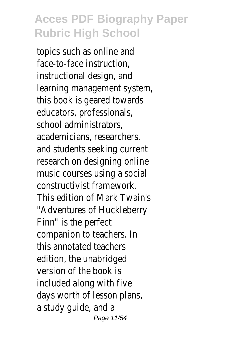topics such as online and face-to-face instruction, instructional design, and learning management system, this book is geared towards educators, professionals, school administrators, academicians, researchers, and students seeking current research on designing online music courses using a social constructivist framework. This edition of Mark Twain's "Adventures of Huckleberry Finn" is the perfect companion to teachers. In this annotated teachers edition, the unabridged version of the book is included along with five days worth of lesson plans a study quide, and a Page 11/54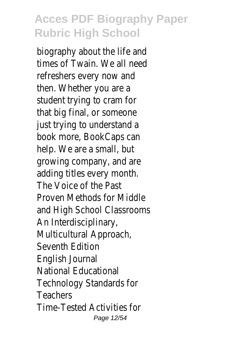biography about the life and times of Twain. We all need refreshers every now and then. Whether you are a student trying to cram for that big final, or someone just trying to understand a book more, BookCaps can help. We are a small, but growing company, and are adding titles every month. The Voice of the Past Proven Methods for Middle and High School Classrooms An Interdisciplinary, Multicultural Approach, Seventh Edition English Journal National Educational Technology Standards for Teachers Time-Tested Activities for Page 12/54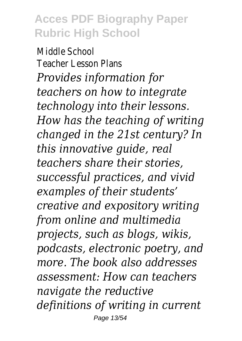Middle School Teacher Lesson Plans *Provides information for teachers on how to integrate technology into their lessons. How has the teaching of writing changed in the 21st century? In this innovative guide, real teachers share their stories, successful practices, and vivid examples of their students' creative and expository writing from online and multimedia projects, such as blogs, wikis, podcasts, electronic poetry, and more. The book also addresses assessment: How can teachers navigate the reductive definitions of writing in current* Page 13/54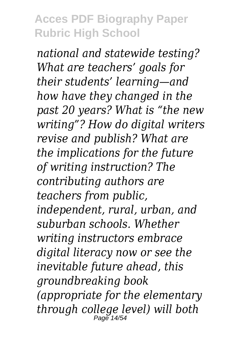*national and statewide testing? What are teachers' goals for their students' learning—and how have they changed in the past 20 years? What is "the new writing"? How do digital writers revise and publish? What are the implications for the future of writing instruction? The contributing authors are teachers from public, independent, rural, urban, and suburban schools. Whether writing instructors embrace digital literacy now or see the inevitable future ahead, this groundbreaking book (appropriate for the elementary through college level) will both* Page 14/54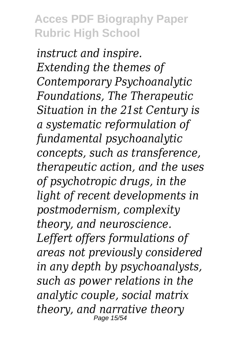*instruct and inspire. Extending the themes of Contemporary Psychoanalytic Foundations, The Therapeutic Situation in the 21st Century is a systematic reformulation of fundamental psychoanalytic concepts, such as transference, therapeutic action, and the uses of psychotropic drugs, in the light of recent developments in postmodernism, complexity theory, and neuroscience. Leffert offers formulations of areas not previously considered in any depth by psychoanalysts, such as power relations in the analytic couple, social matrix theory, and narrative theory* Page 15/54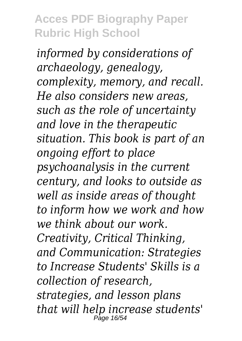*informed by considerations of archaeology, genealogy, complexity, memory, and recall. He also considers new areas, such as the role of uncertainty and love in the therapeutic situation. This book is part of an ongoing effort to place psychoanalysis in the current century, and looks to outside as well as inside areas of thought to inform how we work and how we think about our work. Creativity, Critical Thinking, and Communication: Strategies to Increase Students' Skills is a collection of research, strategies, and lesson plans that will help increase students'* Page 16/54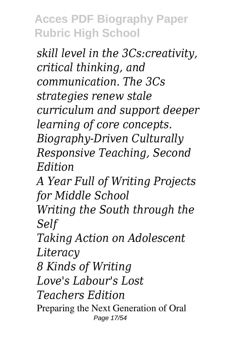*skill level in the 3Cs:creativity, critical thinking, and communication. The 3Cs strategies renew stale curriculum and support deeper learning of core concepts. Biography-Driven Culturally Responsive Teaching, Second Edition A Year Full of Writing Projects for Middle School Writing the South through the Self Taking Action on Adolescent Literacy 8 Kinds of Writing Love's Labour's Lost Teachers Edition* Preparing the Next Generation of Oral Page 17/54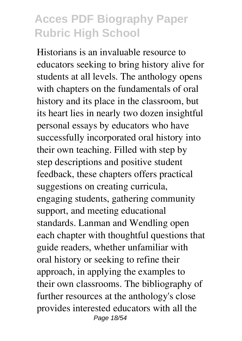Historians is an invaluable resource to educators seeking to bring history alive for students at all levels. The anthology opens with chapters on the fundamentals of oral history and its place in the classroom, but its heart lies in nearly two dozen insightful personal essays by educators who have successfully incorporated oral history into their own teaching. Filled with step by step descriptions and positive student feedback, these chapters offers practical suggestions on creating curricula, engaging students, gathering community support, and meeting educational standards. Lanman and Wendling open each chapter with thoughtful questions that guide readers, whether unfamiliar with oral history or seeking to refine their approach, in applying the examples to their own classrooms. The bibliography of further resources at the anthology's close provides interested educators with all the Page 18/54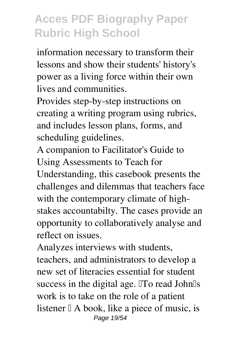information necessary to transform their lessons and show their students' history's power as a living force within their own lives and communities.

Provides step-by-step instructions on creating a writing program using rubrics, and includes lesson plans, forms, and scheduling guidelines.

A companion to Facilitator's Guide to Using Assessments to Teach for Understanding, this casebook presents the challenges and dilemmas that teachers face with the contemporary climate of highstakes accountabilty. The cases provide an opportunity to collaboratively analyse and reflect on issues.

Analyzes interviews with students, teachers, and administrators to develop a new set of literacies essential for student success in the digital age. To read John<sup>Is</sup> work is to take on the role of a patient listener  $\mathbb{I}$  A book, like a piece of music, is Page 19/54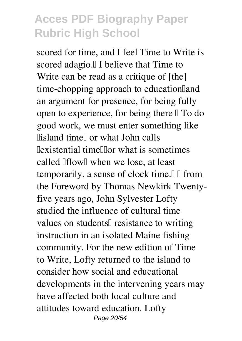scored for time, and I feel Time to Write is scored adagio.<sup>[]</sup> I believe that Time to Write can be read as a critique of [the] time-chopping approach to education and an argument for presence, for being fully open to experience, for being there  $\mathbb{I}$  To do good work, we must enter something like llisland timell or what John calls  $\exists$ existential time $\exists$ or what is sometimes called  $If$  I when we lose, at least temporarily, a sense of clock time. $\Box$   $\Box$  from the Foreword by Thomas Newkirk Twentyfive years ago, John Sylvester Lofty studied the influence of cultural time values on students<sup>[]</sup> resistance to writing instruction in an isolated Maine fishing community. For the new edition of Time to Write, Lofty returned to the island to consider how social and educational developments in the intervening years may have affected both local culture and attitudes toward education. Lofty Page 20/54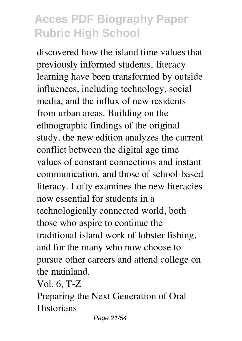discovered how the island time values that previously informed students<sup>[]</sup> literacy learning have been transformed by outside influences, including technology, social media, and the influx of new residents from urban areas. Building on the ethnographic findings of the original study, the new edition analyzes the current conflict between the digital age time values of constant connections and instant communication, and those of school-based literacy. Lofty examines the new literacies now essential for students in a technologically connected world, both those who aspire to continue the traditional island work of lobster fishing, and for the many who now choose to pursue other careers and attend college on the mainland.

Vol. 6, T-Z

Preparing the Next Generation of Oral **Historians** 

Page 21/54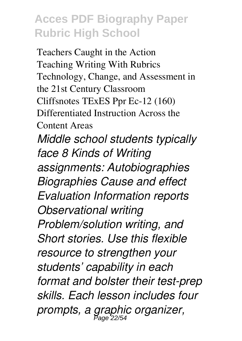Teachers Caught in the Action Teaching Writing With Rubrics Technology, Change, and Assessment in the 21st Century Classroom Cliffsnotes TExES Ppr Ec-12 (160) Differentiated Instruction Across the Content Areas *Middle school students typically face 8 Kinds of Writing assignments: Autobiographies Biographies Cause and effect Evaluation Information reports Observational writing Problem/solution writing, and Short stories. Use this flexible resource to strengthen your students' capability in each format and bolster their test-prep skills. Each lesson includes four prompts, a graphic organizer,* Page 22/54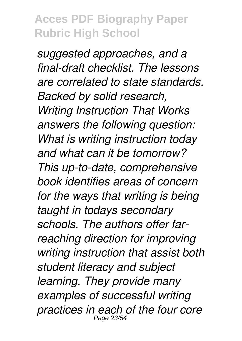*suggested approaches, and a final-draft checklist. The lessons are correlated to state standards. Backed by solid research, Writing Instruction That Works answers the following question: What is writing instruction today and what can it be tomorrow? This up-to-date, comprehensive book identifies areas of concern for the ways that writing is being taught in todays secondary schools. The authors offer farreaching direction for improving writing instruction that assist both student literacy and subject learning. They provide many examples of successful writing practices in each of the four core* Page 23/54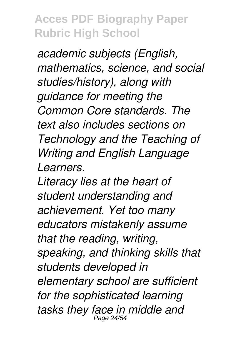*academic subjects (English, mathematics, science, and social studies/history), along with guidance for meeting the Common Core standards. The text also includes sections on Technology and the Teaching of Writing and English Language Learners.*

*Literacy lies at the heart of student understanding and achievement. Yet too many educators mistakenly assume that the reading, writing, speaking, and thinking skills that students developed in elementary school are sufficient for the sophisticated learning tasks they face in middle and* Page 24/54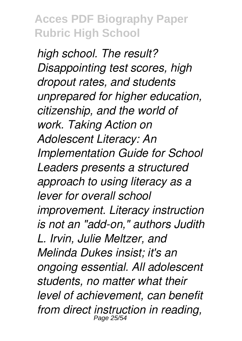*high school. The result? Disappointing test scores, high dropout rates, and students unprepared for higher education, citizenship, and the world of work. Taking Action on Adolescent Literacy: An Implementation Guide for School Leaders presents a structured approach to using literacy as a lever for overall school improvement. Literacy instruction is not an "add-on," authors Judith L. Irvin, Julie Meltzer, and Melinda Dukes insist; it's an ongoing essential. All adolescent students, no matter what their level of achievement, can benefit from direct instruction in reading,* Page 25/54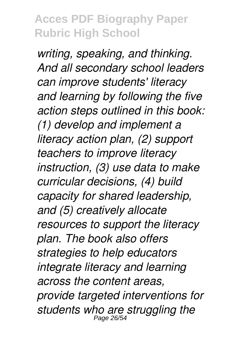*writing, speaking, and thinking. And all secondary school leaders can improve students' literacy and learning by following the five action steps outlined in this book: (1) develop and implement a literacy action plan, (2) support teachers to improve literacy instruction, (3) use data to make curricular decisions, (4) build capacity for shared leadership, and (5) creatively allocate resources to support the literacy plan. The book also offers strategies to help educators integrate literacy and learning across the content areas, provide targeted interventions for* students who are struggling the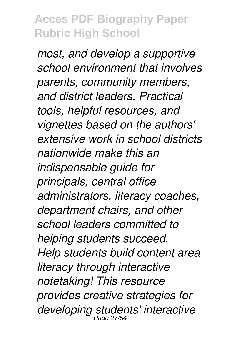*most, and develop a supportive school environment that involves parents, community members, and district leaders. Practical tools, helpful resources, and vignettes based on the authors' extensive work in school districts nationwide make this an indispensable guide for principals, central office administrators, literacy coaches, department chairs, and other school leaders committed to helping students succeed. Help students build content area literacy through interactive notetaking! This resource provides creative strategies for developing students' interactive* Page 27/54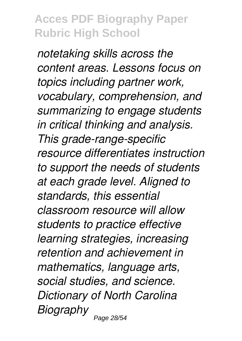*notetaking skills across the content areas. Lessons focus on topics including partner work, vocabulary, comprehension, and summarizing to engage students in critical thinking and analysis. This grade-range-specific resource differentiates instruction to support the needs of students at each grade level. Aligned to standards, this essential classroom resource will allow students to practice effective learning strategies, increasing retention and achievement in mathematics, language arts, social studies, and science. Dictionary of North Carolina Biography* Page 28/54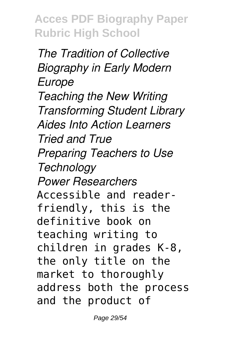*The Tradition of Collective Biography in Early Modern Europe Teaching the New Writing Transforming Student Library Aides Into Action Learners Tried and True Preparing Teachers to Use Technology Power Researchers* Accessible and readerfriendly, this is the definitive book on teaching writing to children in grades K-8, the only title on the market to thoroughly address both the process and the product of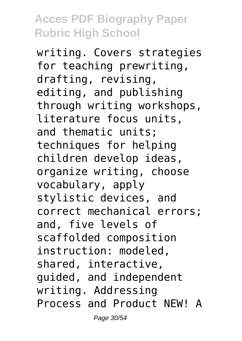writing. Covers strategies for teaching prewriting, drafting, revising, editing, and publishing through writing workshops, literature focus units, and thematic units; techniques for helping children develop ideas, organize writing, choose vocabulary, apply stylistic devices, and correct mechanical errors; and, five levels of scaffolded composition instruction: modeled, shared, interactive, guided, and independent writing. Addressing Process and Product NEW! A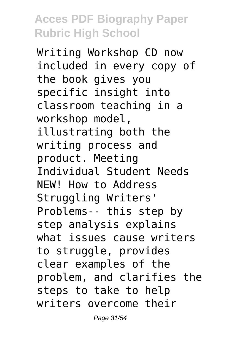Writing Workshop CD now included in every copy of the book gives you specific insight into classroom teaching in a workshop model, illustrating both the writing process and product. Meeting Individual Student Needs NEW! How to Address Struggling Writers' Problems-- this step by step analysis explains what issues cause writers to struggle, provides clear examples of the problem, and clarifies the steps to take to help writers overcome their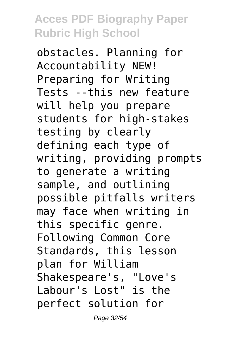obstacles. Planning for Accountability NEW! Preparing for Writing Tests --this new feature will help you prepare students for high-stakes testing by clearly defining each type of writing, providing prompts to generate a writing sample, and outlining possible pitfalls writers may face when writing in this specific genre. Following Common Core Standards, this lesson plan for William Shakespeare's, "Love's Labour's Lost" is the perfect solution for

Page 32/54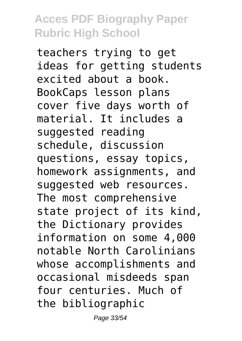teachers trying to get ideas for getting students excited about a book. BookCaps lesson plans cover five days worth of material. It includes a suggested reading schedule, discussion questions, essay topics, homework assignments, and suggested web resources. The most comprehensive state project of its kind, the Dictionary provides information on some 4,000 notable North Carolinians whose accomplishments and occasional misdeeds span four centuries. Much of the bibliographic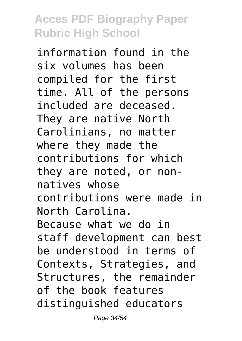information found in the six volumes has been compiled for the first time. All of the persons included are deceased. They are native North Carolinians, no matter where they made the contributions for which they are noted, or nonnatives whose contributions were made in North Carolina. Because what we do in staff development can best be understood in terms of Contexts, Strategies, and Structures, the remainder of the book features distinguished educators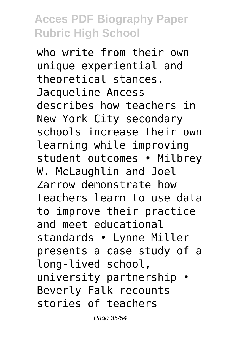who write from their own unique experiential and theoretical stances. Jacqueline Ancess describes how teachers in New York City secondary schools increase their own learning while improving student outcomes • Milbrey W. McLaughlin and Joel Zarrow demonstrate how teachers learn to use data to improve their practice and meet educational standards • Lynne Miller presents a case study of a long-lived school, university partnership • Beverly Falk recounts stories of teachers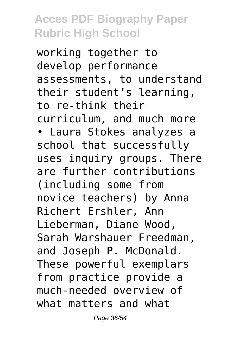working together to develop performance assessments, to understand their student's learning, to re-think their curriculum, and much more • Laura Stokes analyzes a school that successfully uses inquiry groups. There are further contributions (including some from novice teachers) by Anna Richert Ershler, Ann Lieberman, Diane Wood, Sarah Warshauer Freedman, and Joseph P. McDonald. These powerful exemplars from practice provide a much-needed overview of what matters and what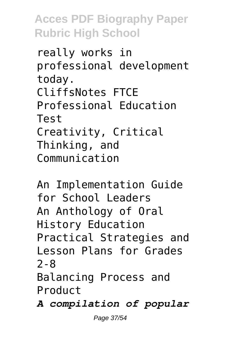really works in professional development today. CliffsNotes FTCE Professional Education Test Creativity, Critical Thinking, and Communication

```
An Implementation Guide
for School Leaders
An Anthology of Oral
History Education
Practical Strategies and
Lesson Plans for Grades
2-8
Balancing Process and
Product
A compilation of popular
```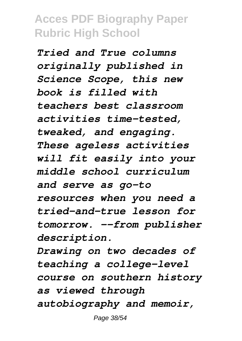*Tried and True columns originally published in Science Scope, this new book is filled with teachers best classroom activities time-tested, tweaked, and engaging. These ageless activities will fit easily into your middle school curriculum and serve as go-to resources when you need a tried-and-true lesson for tomorrow. --from publisher description.*

*Drawing on two decades of teaching a college-level course on southern history as viewed through autobiography and memoir,*

Page 38/54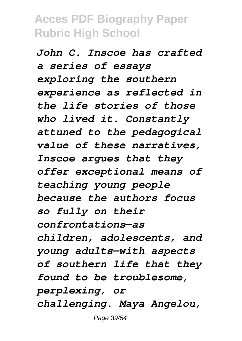*John C. Inscoe has crafted a series of essays exploring the southern experience as reflected in the life stories of those who lived it. Constantly attuned to the pedagogical value of these narratives, Inscoe argues that they offer exceptional means of teaching young people because the authors focus so fully on their confrontations—as children, adolescents, and young adults—with aspects of southern life that they found to be troublesome, perplexing, or challenging. Maya Angelou,*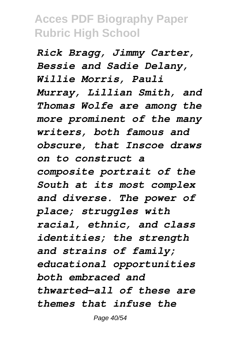*Rick Bragg, Jimmy Carter, Bessie and Sadie Delany, Willie Morris, Pauli Murray, Lillian Smith, and Thomas Wolfe are among the more prominent of the many writers, both famous and obscure, that Inscoe draws on to construct a composite portrait of the South at its most complex and diverse. The power of place; struggles with racial, ethnic, and class identities; the strength and strains of family; educational opportunities both embraced and thwarted—all of these are themes that infuse the*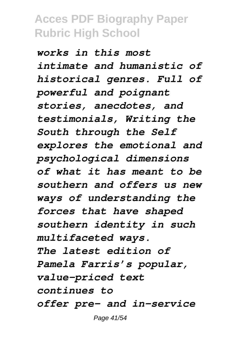*works in this most intimate and humanistic of historical genres. Full of powerful and poignant stories, anecdotes, and testimonials, Writing the South through the Self explores the emotional and psychological dimensions of what it has meant to be southern and offers us new ways of understanding the forces that have shaped southern identity in such multifaceted ways. The latest edition of Pamela Farris's popular, value-priced text continues to offer pre- and in-service*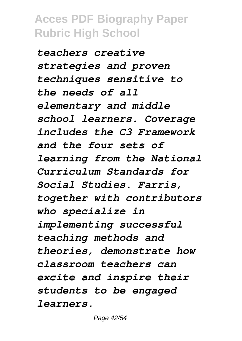*teachers creative strategies and proven techniques sensitive to the needs of all elementary and middle school learners. Coverage includes the C3 Framework and the four sets of learning from the National Curriculum Standards for Social Studies. Farris, together with contributors who specialize in implementing successful teaching methods and theories, demonstrate how classroom teachers can excite and inspire their students to be engaged learners.*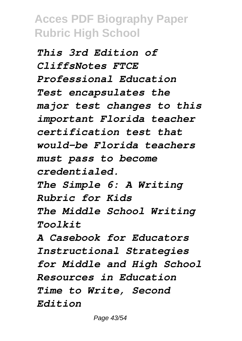*This 3rd Edition of CliffsNotes FTCE Professional Education Test encapsulates the major test changes to this important Florida teacher certification test that would-be Florida teachers must pass to become credentialed. The Simple 6: A Writing Rubric for Kids The Middle School Writing Toolkit A Casebook for Educators Instructional Strategies for Middle and High School Resources in Education Time to Write, Second Edition*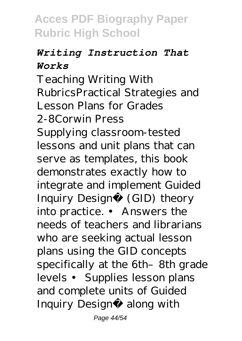#### *Writing Instruction That Works*

Teaching Writing With RubricsPractical Strategies and Lesson Plans for Grades 2-8Corwin Press Supplying classroom-tested lessons and unit plans that can serve as templates, this book demonstrates exactly how to integrate and implement Guided Inquiry Design® (GID) theory into practice. • Answers the needs of teachers and librarians who are seeking actual lesson plans using the GID concepts specifically at the 6th–8th grade levels • Supplies lesson plans and complete units of Guided Inquiry Design® along with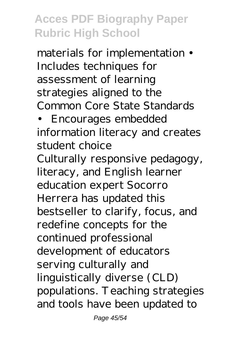materials for implementation • Includes techniques for assessment of learning strategies aligned to the Common Core State Standards

• Encourages embedded information literacy and creates student choice

Culturally responsive pedagogy, literacy, and English learner education expert Socorro Herrera has updated this bestseller to clarify, focus, and redefine concepts for the continued professional development of educators serving culturally and linguistically diverse (CLD) populations. Teaching strategies and tools have been updated to

Page 45/54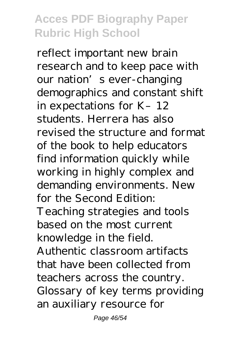reflect important new brain research and to keep pace with our nation's ever-changing demographics and constant shift in expectations for K–12 students. Herrera has also revised the structure and format of the book to help educators find information quickly while working in highly complex and demanding environments. New for the Second Edition: Teaching strategies and tools based on the most current knowledge in the field. Authentic classroom artifacts that have been collected from teachers across the country. Glossary of key terms providing an auxiliary resource for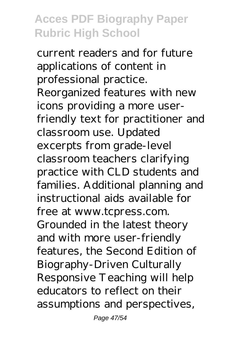current readers and for future applications of content in professional practice. Reorganized features with new icons providing a more userfriendly text for practitioner and classroom use. Updated excerpts from grade-level classroom teachers clarifying practice with CLD students and families. Additional planning and instructional aids available for free at www.tcpress.com. Grounded in the latest theory and with more user-friendly features, the Second Edition of Biography-Driven Culturally Responsive Teaching will help educators to reflect on their assumptions and perspectives,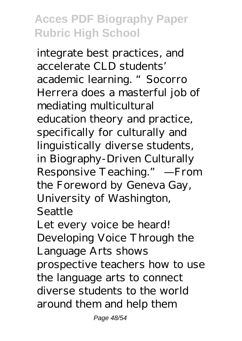integrate best practices, and accelerate CLD students' academic learning. "Socorro Herrera does a masterful job of mediating multicultural education theory and practice, specifically for culturally and linguistically diverse students, in Biography-Driven Culturally Responsive Teaching." —From the Foreword by Geneva Gay, University of Washington, Seattle

Let every voice be heard! Developing Voice Through the Language Arts shows prospective teachers how to use the language arts to connect diverse students to the world around them and help them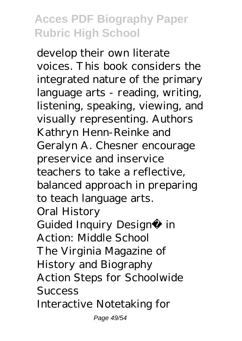develop their own literate voices. This book considers the integrated nature of the primary language arts - reading, writing, listening, speaking, viewing, and visually representing. Authors Kathryn Henn-Reinke and Geralyn A. Chesner encourage preservice and inservice teachers to take a reflective, balanced approach in preparing to teach language arts. Oral History Guided Inquiry Design® in Action: Middle School The Virginia Magazine of History and Biography Action Steps for Schoolwide Success Interactive Notetaking for

Page 49/54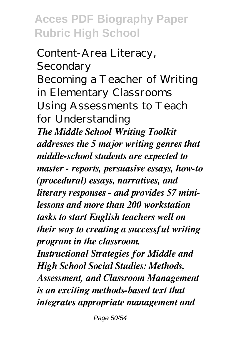Content-Area Literacy, Secondary Becoming a Teacher of Writing in Elementary Classrooms Using Assessments to Teach for Understanding *The Middle School Writing Toolkit addresses the 5 major writing genres that middle-school students are expected to master - reports, persuasive essays, how-to (procedural) essays, narratives, and literary responses - and provides 57 minilessons and more than 200 workstation tasks to start English teachers well on their way to creating a successful writing program in the classroom. Instructional Strategies for Middle and High School Social Studies: Methods, Assessment, and Classroom Management is an exciting methods-based text that integrates appropriate management and*

Page 50/54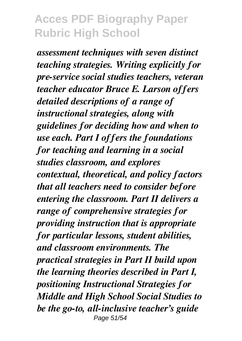*assessment techniques with seven distinct teaching strategies. Writing explicitly for pre-service social studies teachers, veteran teacher educator Bruce E. Larson offers detailed descriptions of a range of instructional strategies, along with guidelines for deciding how and when to use each. Part I offers the foundations for teaching and learning in a social studies classroom, and explores contextual, theoretical, and policy factors that all teachers need to consider before entering the classroom. Part II delivers a range of comprehensive strategies for providing instruction that is appropriate for particular lessons, student abilities, and classroom environments. The practical strategies in Part II build upon the learning theories described in Part I, positioning Instructional Strategies for Middle and High School Social Studies to be the go-to, all-inclusive teacher's guide* Page 51/54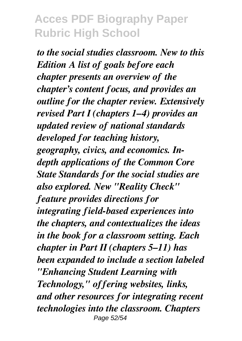*to the social studies classroom. New to this Edition A list of goals before each chapter presents an overview of the chapter's content focus, and provides an outline for the chapter review. Extensively revised Part I (chapters 1–4) provides an updated review of national standards developed for teaching history, geography, civics, and economics. Indepth applications of the Common Core State Standards for the social studies are also explored. New "Reality Check" feature provides directions for integrating field-based experiences into the chapters, and contextualizes the ideas in the book for a classroom setting. Each chapter in Part II (chapters 5–11) has been expanded to include a section labeled "Enhancing Student Learning with Technology," offering websites, links, and other resources for integrating recent technologies into the classroom. Chapters* Page 52/54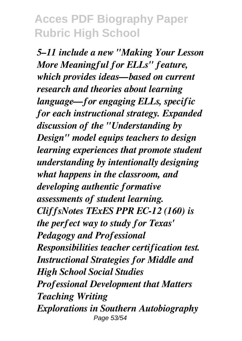*5–11 include a new "Making Your Lesson More Meaningful for ELLs" feature, which provides ideas—based on current research and theories about learning language—for engaging ELLs, specific for each instructional strategy. Expanded discussion of the "Understanding by Design" model equips teachers to design learning experiences that promote student understanding by intentionally designing what happens in the classroom, and developing authentic formative assessments of student learning. CliffsNotes TExES PPR EC-12 (160) is the perfect way to study for Texas' Pedagogy and Professional Responsibilities teacher certification test. Instructional Strategies for Middle and High School Social Studies Professional Development that Matters Teaching Writing Explorations in Southern Autobiography* Page 53/54